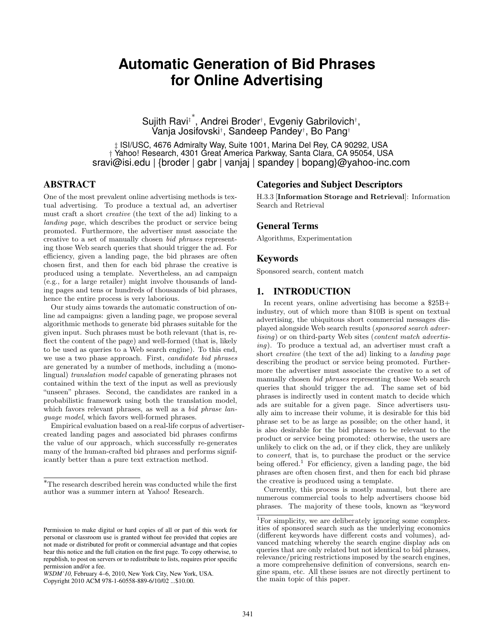# **Automatic Generation of Bid Phrases for Online Advertising**

Sujith Ravi‡<sup>\*</sup>, Andrei Broder<sup>†</sup>, Evgeniy Gabrilovich<sup>†</sup>, Vanja Josifovski† , Sandeep Pandey† , Bo Pang†

‡ ISI/USC, 4676 Admiralty Way, Suite 1001, Marina Del Rey, CA 90292, USA † Yahoo! Research, 4301 Great America Parkway, Santa Clara, CA 95054, USA sravi@isi.edu | {broder | gabr | vanjaj | spandey | bopang}@yahoo-inc.com

# ABSTRACT

One of the most prevalent online advertising methods is textual advertising. To produce a textual ad, an advertiser must craft a short creative (the text of the ad) linking to a landing page, which describes the product or service being promoted. Furthermore, the advertiser must associate the creative to a set of manually chosen bid phrases representing those Web search queries that should trigger the ad. For efficiency, given a landing page, the bid phrases are often chosen first, and then for each bid phrase the creative is produced using a template. Nevertheless, an ad campaign (e.g., for a large retailer) might involve thousands of landing pages and tens or hundreds of thousands of bid phrases, hence the entire process is very laborious.

Our study aims towards the automatic construction of online ad campaigns: given a landing page, we propose several algorithmic methods to generate bid phrases suitable for the given input. Such phrases must be both relevant (that is, reflect the content of the page) and well-formed (that is, likely to be used as queries to a Web search engine). To this end, we use a two phase approach. First, candidate bid phrases are generated by a number of methods, including a (monolingual) translation model capable of generating phrases not contained within the text of the input as well as previously "unseen" phrases. Second, the candidates are ranked in a probabilistic framework using both the translation model, which favors relevant phrases, as well as a *bid phrase lan*guage model, which favors well-formed phrases.

Empirical evaluation based on a real-life corpus of advertisercreated landing pages and associated bid phrases confirms the value of our approach, which successfully re-generates many of the human-crafted bid phrases and performs significantly better than a pure text extraction method.

Copyright 2010 ACM 978-1-60558-889-6/10/02 ...\$10.00.

# Categories and Subject Descriptors

H.3.3 [Information Storage and Retrieval]: Information Search and Retrieval

# General Terms

Algorithms, Experimentation

# Keywords

Sponsored search, content match

# 1. INTRODUCTION

In recent years, online advertising has become a \$25B+ industry, out of which more than \$10B is spent on textual advertising, the ubiquitous short commercial messages displayed alongside Web search results (sponsored search advertising) or on third-party Web sites (content match advertising). To produce a textual ad, an advertiser must craft a short creative (the text of the ad) linking to a landing page describing the product or service being promoted. Furthermore the advertiser must associate the creative to a set of manually chosen bid phrases representing those Web search queries that should trigger the ad. The same set of bid phrases is indirectly used in content match to decide which ads are suitable for a given page. Since advertisers usually aim to increase their volume, it is desirable for this bid phrase set to be as large as possible; on the other hand, it is also desirable for the bid phrases to be relevant to the product or service being promoted: otherwise, the users are unlikely to click on the ad, or if they click, they are unlikely to convert, that is, to purchase the product or the service being offered.<sup>1</sup> For efficiency, given a landing page, the bid phrases are often chosen first, and then for each bid phrase the creative is produced using a template.

Currently, this process is mostly manual, but there are numerous commercial tools to help advertisers choose bid phrases. The majority of these tools, known as "keyword

<sup>∗</sup>The research described herein was conducted while the first author was a summer intern at Yahoo! Research.

Permission to make digital or hard copies of all or part of this work for personal or classroom use is granted without fee provided that copies are not made or distributed for profit or commercial advantage and that copies bear this notice and the full citation on the first page. To copy otherwise, to republish, to post on servers or to redistribute to lists, requires prior specific permission and/or a fee.

*WSDM'10,* February 4–6, 2010, New York City, New York, USA.

<sup>&</sup>lt;sup>1</sup>For simplicity, we are deliberately ignoring some complexities of sponsored search such as the underlying economics (different keywords have different costs and volumes), advanced matching whereby the search engine display ads on queries that are only related but not identical to bid phrases, relevance/pricing restrictions imposed by the search engines, a more comprehensive definition of conversions, search engine spam, etc. All these issues are not directly pertinent to the main topic of this paper.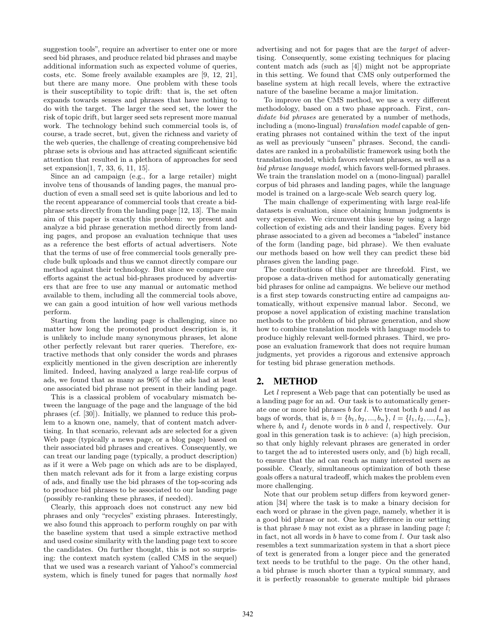suggestion tools", require an advertiser to enter one or more seed bid phrases, and produce related bid phrases and maybe additional information such as expected volume of queries, costs, etc. Some freely available examples are [9, 12, 21], but there are many more. One problem with these tools is their susceptibility to topic drift: that is, the set often expands towards senses and phrases that have nothing to do with the target. The larger the seed set, the lower the risk of topic drift, but larger seed sets represent more manual work. The technology behind such commercial tools is, of course, a trade secret, but, given the richness and variety of the web queries, the challenge of creating comprehensive bid phrase sets is obvious and has attracted significant scientific attention that resulted in a plethora of approaches for seed set expansion[1, 7, 33, 6, 11, 15].

Since an ad campaign (e.g., for a large retailer) might involve tens of thousands of landing pages, the manual production of even a small seed set is quite laborious and led to the recent appearance of commercial tools that create a bidphrase sets directly from the landing page [12, 13]. The main aim of this paper is exactly this problem: we present and analyze a bid phrase generation method directly from landing pages, and propose an evaluation technique that uses as a reference the best efforts of actual advertisers. Note that the terms of use of free commercial tools generally preclude bulk uploads and thus we cannot directly compare our method against their technology. But since we compare our efforts against the actual bid-phrases produced by advertisers that are free to use any manual or automatic method available to them, including all the commercial tools above, we can gain a good intuition of how well various methods perform.

Starting from the landing page is challenging, since no matter how long the promoted product description is, it is unlikely to include many synonymous phrases, let alone other perfectly relevant but rarer queries. Therefore, extractive methods that only consider the words and phrases explicitly mentioned in the given description are inherently limited. Indeed, having analyzed a large real-life corpus of ads, we found that as many as 96% of the ads had at least one associated bid phrase not present in their landing page.

This is a classical problem of vocabulary mismatch between the language of the page and the language of the bid phrases (cf. [30]). Initially, we planned to reduce this problem to a known one, namely, that of content match advertising. In that scenario, relevant ads are selected for a given Web page (typically a news page, or a blog page) based on their associated bid phrases and creatives. Consequently, we can treat our landing page (typically, a product description) as if it were a Web page on which ads are to be displayed, then match relevant ads for it from a large existing corpus of ads, and finally use the bid phrases of the top-scoring ads to produce bid phrases to be associated to our landing page (possibly re-ranking these phrases, if needed).

Clearly, this approach does not construct any new bid phrases and only "recycles" existing phrases. Interestingly, we also found this approach to perform roughly on par with the baseline system that used a simple extractive method and used cosine similarity with the landing page text to score the candidates. On further thought, this is not so surprising: the context match system (called CMS in the sequel) that we used was a research variant of Yahoo!'s commercial system, which is finely tuned for pages that normally host advertising and not for pages that are the target of advertising. Consequently, some existing techniques for placing content match ads (such as [4]) might not be appropriate in this setting. We found that CMS only outperformed the baseline system at high recall levels, where the extractive nature of the baseline became a major limitation.

To improve on the CMS method, we use a very different methodology, based on a two phase approach. First, candidate bid phrases are generated by a number of methods, including a (mono-lingual) *translation model* capable of generating phrases not contained within the text of the input as well as previously "unseen" phrases. Second, the candidates are ranked in a probabilistic framework using both the translation model, which favors relevant phrases, as well as a bid phrase language model, which favors well-formed phrases. We train the translation model on a (mono-lingual) parallel corpus of bid phrases and landing pages, while the language model is trained on a large-scale Web search query log.

The main challenge of experimenting with large real-life datasets is evaluation, since obtaining human judgments is very expensive. We circumvent this issue by using a large collection of existing ads and their landing pages. Every bid phrase associated to a given ad becomes a "labeled" instance of the form (landing page, bid phrase). We then evaluate our methods based on how well they can predict these bid phrases given the landing page.

The contributions of this paper are threefold. First, we propose a data-driven method for automatically generating bid phrases for online ad campaigns. We believe our method is a first step towards constructing entire ad campaigns automatically, without expensive manual labor. Second, we propose a novel application of existing machine translation methods to the problem of bid phrase generation, and show how to combine translation models with language models to produce highly relevant well-formed phrases. Third, we propose an evaluation framework that does not require human judgments, yet provides a rigorous and extensive approach for testing bid phrase generation methods.

# 2. METHOD

Let  $l$  represent a Web page that can potentially be used as a landing page for an ad. Our task is to automatically generate one or more bid phrases  $b$  for  $l$ . We treat both  $b$  and  $l$  as bags of words, that is,  $b = \{b_1, b_2, ..., b_n\}, l = \{l_1, l_2, ..., l_m\},\$ where  $b_i$  and  $l_j$  denote words in b and l, respectively. Our goal in this generation task is to achieve: (a) high precision, so that only highly relevant phrases are generated in order to target the ad to interested users only, and (b) high recall, to ensure that the ad can reach as many interested users as possible. Clearly, simultaneous optimization of both these goals offers a natural tradeoff, which makes the problem even more challenging.

Note that our problem setup differs from keyword generation [34] where the task is to make a binary decision for each word or phrase in the given page, namely, whether it is a good bid phrase or not. One key difference in our setting is that phrase  $b$  may not exist as a phrase in landing page  $l$ ; in fact, not all words in  $b$  have to come from  $l$ . Our task also resembles a text summarization system in that a short piece of text is generated from a longer piece and the generated text needs to be truthful to the page. On the other hand, a bid phrase is much shorter than a typical summary, and it is perfectly reasonable to generate multiple bid phrases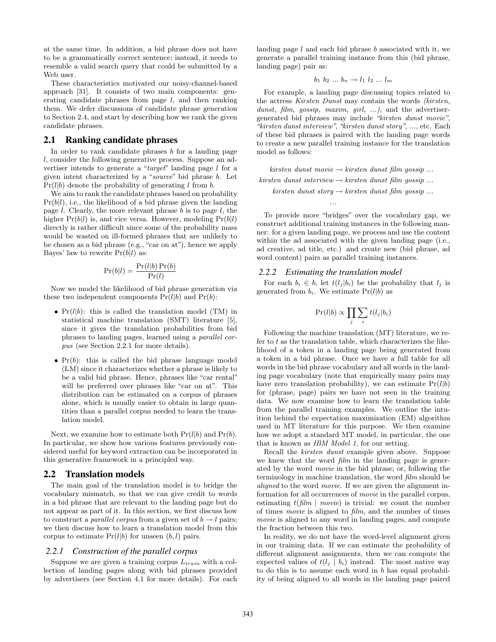at the same time. In addition, a bid phrase does not have to be a grammatically correct sentence; instead, it needs to resemble a valid search query that could be submitted by a Web user.

These characteristics motivated our noisy-channel-based approach [31]. It consists of two main components: generating candidate phrases from page  $l$ , and then ranking them. We defer discussions of candidate phrase generation to Section 2.4, and start by describing how we rank the given candidate phrases.

### 2.1 Ranking candidate phrases

In order to rank candidate phrases  $b$  for a landing page l, consider the following generative process. Suppose an advertiser intends to generate a " $target$ " landing page  $l$  for a given intent characterized by a "source" bid phrase b. Let  $Pr(l|b)$  denote the probability of generating l from b.

We aim to rank the candidate phrases based on probability  $Pr(b|l)$ , i.e., the likelihood of a bid phrase given the landing page  $l$ . Clearly, the more relevant phrase  $b$  is to page  $l$ , the higher  $Pr(b|l)$  is, and vice versa. However, modeling  $Pr(b|l)$ directly is rather difficult since some of the probability mass would be wasted on ill-formed phrases that are unlikely to be chosen as a bid phrase (e.g., "car on at"), hence we apply Bayes' law to rewrite  $Pr(b|l)$  as:

$$
Pr(b|l) = \frac{Pr(l|b) Pr(b)}{Pr(l)}
$$

Now we model the likelihood of bid phrase generation via these two independent components  $Pr(l|b)$  and  $Pr(b)$ :

- $Pr(l|b)$ : this is called the translation model (TM) in statistical machine translation (SMT) literature [5], since it gives the translation probabilities from bid phrases to landing pages, learned using a parallel corpus (see Section 2.2.1 for more details).
- $Pr(b)$ : this is called the bid phrase language model (LM) since it characterizes whether a phrase is likely to be a valid bid phrase. Hence, phrases like "car rental" will be preferred over phrases like "car on at". This distribution can be estimated on a corpus of phrases alone, which is usually easier to obtain in large quantities than a parallel corpus needed to learn the translation model.

Next, we examine how to estimate both  $Pr(l|b)$  and  $Pr(b)$ . In particular, we show how various features previously considered useful for keyword extraction can be incorporated in this generative framework in a principled way.

#### 2.2 Translation models

The main goal of the translation model is to bridge the vocabulary mismatch, so that we can give credit to words in a bid phrase that are relevant to the landing page but do not appear as part of it. In this section, we first discuss how to construct a *parallel corpus* from a given set of  $b \rightarrow l$  pairs; we then discuss how to learn a translation model from this corpus to estimate  $Pr(l|b)$  for unseen  $(b, l)$  pairs.

#### *2.2.1 Construction of the parallel corpus*

Suppose we are given a training corpus  $L_{train}$  with a collection of landing pages along with bid phrases provided by advertisers (see Section 4.1 for more details). For each landing page  $l$  and each bid phrase  $b$  associated with it, we generate a parallel training instance from this (bid phrase, landing page) pair as:

$$
b_1 b_2 \ldots b_n \rightarrow l_1 l_2 \ldots l_m
$$

For example, a landing page discussing topics related to the actress Kirsten Dunst may contain the words (kirsten, dunst, film, gossip, maxim, girl, ...), and the advertisergenerated bid phrases may include "kirsten dunst movie", "kirsten dunst interview", "kirsten dunst story", ..., etc. Each of these bid phrases is paired with the landing page words to create a new parallel training instance for the translation model as follows:

kirsten dunst movie  $\rightarrow$  kirsten dunst film gossip ... kirsten dunst interview  $\rightarrow$  kirsten dunst film gossip ... kirsten dunst story  $\rightarrow$  kirsten dunst film gossip ...

To provide more "bridges" over the vocabulary gap, we construct additional training instances in the following manner: for a given landing page, we process and use the content within the ad associated with the given landing page (i.e., ad creative, ad title, etc.) and create new (bid phrase, ad word content) pairs as parallel training instances.

#### *2.2.2 Estimating the translation model*

...

For each  $b_i \in b$ , let  $t(l_i | b_i)$  be the probability that  $l_i$  is generated from  $b_i$ . We estimate  $Pr(l|b)$  as

$$
\Pr(l|b) \propto \prod_j \sum_i t(l_j|b_i)
$$

Following the machine translation (MT) literature, we refer to  $t$  as the translation table, which characterizes the likelihood of a token in a landing page being generated from a token in a bid phrase. Once we have a full table for all words in the bid phrase vocabulary and all words in the landing page vocabulary (note that empirically many pairs may have zero translation probability), we can estimate  $Pr(l|b)$ for (phrase, page) pairs we have not seen in the training data. We now examine how to learn the translation table from the parallel training examples. We outline the intuition behind the expectation maximization (EM) algorithm used in MT literature for this purpose. We then examine how we adopt a standard MT model, in particular, the one that is known as IBM Model 1, for our setting.

Recall the kirsten dunst example given above. Suppose we knew that the word  $film$  in the landing page is generated by the word movie in the bid phrase; or, following the terminology in machine translation, the word film should be aligned to the word movie. If we are given the alignment information for all occurrences of movie in the parallel corpus, estimating  $t(\text{film } | \text{ movie})$  is trivial: we count the number of times movie is aligned to film, and the number of times movie is aligned to any word in landing pages, and compute the fraction between this two.

In reality, we do not have the word-level alignment given in our training data. If we can estimate the probability of different alignment assignments, then we can compute the expected values of  $t(l_j | b_i)$  instead. The most native way to do this is to assume each word in  $b$  has equal probability of being aligned to all words in the landing page paired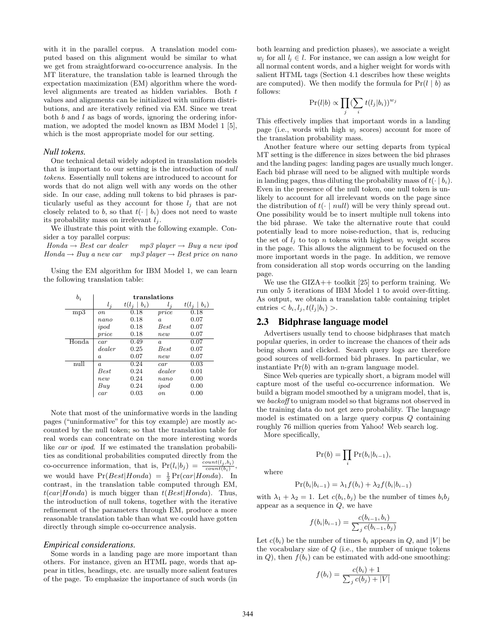with it in the parallel corpus. A translation model computed based on this alignment would be similar to what we get from straightforward co-occurrence analysis. In the MT literature, the translation table is learned through the expectation maximization (EM) algorithm where the wordlevel alignments are treated as hidden variables. Both t values and alignments can be initialized with uniform distributions, and are iteratively refined via EM. Since we treat both  $b$  and  $l$  as bags of words, ignoring the ordering information, we adopted the model known as IBM Model 1 [5], which is the most appropriate model for our setting.

#### *Null tokens.*

One technical detail widely adopted in translation models that is important to our setting is the introduction of null tokens. Essentially null tokens are introduced to account for words that do not align well with any words on the other side. In our case, adding null tokens to bid phrases is particularly useful as they account for those  $l_i$  that are not closely related to b, so that  $t(\cdot | b_i)$  does not need to waste its probability mass on irrelevant  $l_i$ .

We illustrate this point with the following example. Consider a toy parallel corpus:

 $Honda \rightarrow Best \ car \ dealer \ m p3 \ player \rightarrow Buy \ a \ new \ ipod$  $Honda \rightarrow Buy$  a new car mp3 player  $\rightarrow Best$  price on nano

Using the EM algorithm for IBM Model 1, we can learn the following translation table:

| $b_i$ | translations     |                   |               |                   |  |
|-------|------------------|-------------------|---------------|-------------------|--|
|       | $l_i$            | $t(l_i \mid b_i)$ | $l_i$         | $t(l_i \mid b_i)$ |  |
| mp3   | $\Omega$         | 0.18              | price         | 0.18              |  |
|       | nano             | 0.18              | $\alpha$      | 0.07              |  |
|       | ipod             | 0.18              | <b>Best</b>   | 0.07              |  |
|       | price            | 0.18              | new           | 0.07              |  |
| Honda | car              | 0.49              | $\alpha$      | 0.07              |  |
|       | dealer           | 0.25              | <b>Best</b>   | 0.07              |  |
|       | $\boldsymbol{a}$ | 0.07              | new           | 0.07              |  |
| null  | $\boldsymbol{a}$ | 0.24              | car           | 0.03              |  |
|       | <b>Best</b>      | 0.24              | dealer        | 0.01              |  |
|       | new              | 0.24              | nano          | 0.00              |  |
|       | Buy              | 0.24              | ipod          | 0.00              |  |
|       | car              | 0.03              | <sub>on</sub> | 0.00              |  |

Note that most of the uninformative words in the landing pages ("uninformative" for this toy example) are mostly accounted by the null token; so that the translation table for real words can concentrate on the more interesting words like car or ipod. If we estimated the translation probabilities as conditional probabilities computed directly from the co-occurrence information, that is,  $Pr(l_i|b_j) = \frac{count(l_j,b_i)}{count(b_i)}$ , we would have  $Pr(Best|Honda) = \frac{1}{2} Pr(car|Honda)$ . In contrast, in the translation table computed through EM,  $t(car|Honda)$  is much bigger than  $t(Best|Honda)$ . Thus, the introduction of null tokens, together with the iterative refinement of the parameters through EM, produce a more reasonable translation table than what we could have gotten directly through simple co-occurrence analysis.

#### *Empirical considerations.*

Some words in a landing page are more important than others. For instance, given an HTML page, words that appear in titles, headings, etc. are usually more salient features of the page. To emphasize the importance of such words (in both learning and prediction phases), we associate a weight  $w_i$  for all  $l_i \in l$ . For instance, we can assign a low weight for all normal content words, and a higher weight for words with salient HTML tags (Section 4.1 describes how these weights are computed). We then modify the formula for  $Pr(l | b)$  as follows:

$$
\Pr(l|b) \propto \prod_j (\sum_i t(l_j|b_i))^{w_j}
$$

This effectively implies that important words in a landing page (i.e., words with high  $w_i$  scores) account for more of the translation probability mass.

Another feature where our setting departs from typical MT setting is the difference in sizes between the bid phrases and the landing pages: landing pages are usually much longer. Each bid phrase will need to be aligned with multiple words in landing pages, thus diluting the probability mass of  $t(\cdot | b_i)$ . Even in the presence of the null token, one null token is unlikely to account for all irrelevant words on the page since the distribution of  $t(\cdot | null)$  will be very thinly spread out. One possibility would be to insert multiple null tokens into the bid phrase. We take the alternative route that could potentially lead to more noise-reduction, that is, reducing the set of  $l_i$  to top n tokens with highest  $w_i$  weight scores in the page. This allows the alignment to be focused on the more important words in the page. In addition, we remove from consideration all stop words occurring on the landing page.

We use the  $GIZA++$  toolkit [25] to perform training. We run only 5 iterations of IBM Model 1 to avoid over-fitting. As output, we obtain a translation table containing triplet entries **.** 

#### 2.3 Bidphrase language model

Advertisers usually tend to choose bidphrases that match popular queries, in order to increase the chances of their ads being shown and clicked. Search query logs are therefore good sources of well-formed bid phrases. In particular, we instantiate  $Pr(b)$  with an n-gram language model.

Since Web queries are typically short, a bigram model will capture most of the useful co-occurrence information. We build a bigram model smoothed by a unigram model, that is, we backoff to unigram model so that bigrams not observed in the training data do not get zero probability. The language model is estimated on a large query corpus Q containing roughly 76 million queries from Yahoo! Web search log. More specifically,

$$
\Pr(b) = \prod_i \Pr(b_i|b_{i-1}),
$$

where

$$
Pr(b_i|b_{i-1}) = \lambda_1 f(b_i) + \lambda_2 f(b_i|b_{i-1})
$$

with  $\lambda_1 + \lambda_2 = 1$ . Let  $c(b_i, b_j)$  be the number of times  $b_i b_j$ appear as a sequence in  $Q$ , we have

$$
f(b_i|b_{i-1}) = \frac{c(b_{i-1}, b_i)}{\sum_j c(b_{i-1}, b_j)}
$$

Let  $c(b_i)$  be the number of times  $b_i$  appears in Q, and |V| be the vocabulary size of  $Q$  (i.e., the number of unique tokens in  $Q$ ), then  $f(b_i)$  can be estimated with add-one smoothing:

$$
f(b_i) = \frac{c(b_i) + 1}{\sum_j c(b_j) + |V|}
$$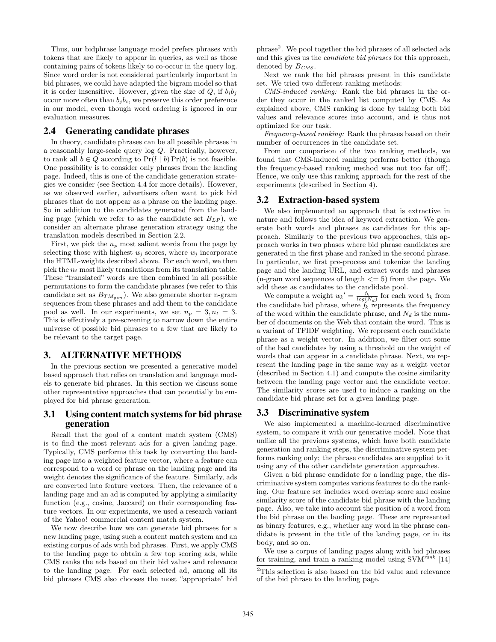Thus, our bidphrase language model prefers phrases with tokens that are likely to appear in queries, as well as those containing pairs of tokens likely to co-occur in the query log. Since word order is not considered particularly important in bid phrases, we could have adapted the bigram model so that it is order insensitive. However, given the size of  $Q$ , if  $b_i b_j$ occur more often than  $b_i b_i$ , we preserve this order preference in our model, even though word ordering is ignored in our evaluation measures.

#### 2.4 Generating candidate phrases

In theory, candidate phrases can be all possible phrases in a reasonably large-scale query log Q. Practically, however, to rank all  $b \in Q$  according to  $Pr(l | b) Pr(b)$  is not feasible. One possibility is to consider only phrases from the landing page. Indeed, this is one of the candidate generation strategies we consider (see Section 4.4 for more details). However, as we observed earlier, advertisers often want to pick bid phrases that do not appear as a phrase on the landing page. So in addition to the candidates generated from the landing page (which we refer to as the candidate set  $B_{LP}$ ), we consider an alternate phrase generation strategy using the translation models described in Section 2.2.

First, we pick the  $n_p$  most salient words from the page by selecting those with highest  $w_j$  scores, where  $w_j$  incorporate the HTML-weights described above. For each word, we then pick the  $n_t$  most likely translations from its translation table. These "translated" words are then combined in all possible permutations to form the candidate phrases (we refer to this candidate set as  $B_{TMgen}$ ). We also generate shorter n-gram sequences from these phrases and add them to the candidate pool as well. In our experiments, we set  $n_p = 3, n_t = 3$ . This is effectively a pre-screening to narrow down the entire universe of possible bid phrases to a few that are likely to be relevant to the target page.

# 3. ALTERNATIVE METHODS

In the previous section we presented a generative model based approach that relies on translation and language models to generate bid phrases. In this section we discuss some other representative approaches that can potentially be employed for bid phrase generation.

# 3.1 Using content match systems for bid phrase generation

Recall that the goal of a content match system (CMS) is to find the most relevant ads for a given landing page. Typically, CMS performs this task by converting the landing page into a weighted feature vector, where a feature can correspond to a word or phrase on the landing page and its weight denotes the significance of the feature. Similarly, ads are converted into feature vectors. Then, the relevance of a landing page and an ad is computed by applying a similarity function (e.g., cosine, Jaccard) on their corresponding feature vectors. In our experiments, we used a research variant of the Yahoo! commercial content match system.

We now describe how we can generate bid phrases for a new landing page, using such a content match system and an existing corpus of ads with bid phrases. First, we apply CMS to the landing page to obtain a few top scoring ads, while CMS ranks the ads based on their bid values and relevance to the landing page. For each selected ad, among all its bid phrases CMS also chooses the most "appropriate" bid

phrase<sup>2</sup>. We pool together the bid phrases of all selected ads and this gives us the candidate bid phrases for this approach, denoted by  $B_{CMS}$ .

Next we rank the bid phrases present in this candidate set. We tried two different ranking methods:

CMS-induced ranking: Rank the bid phrases in the order they occur in the ranked list computed by CMS. As explained above, CMS ranking is done by taking both bid values and relevance scores into account, and is thus not optimized for our task.

Frequency-based ranking: Rank the phrases based on their number of occurrences in the candidate set.

From our comparison of the two ranking methods, we found that CMS-induced ranking performs better (though the frequency-based ranking method was not too far off). Hence, we only use this ranking approach for the rest of the experiments (described in Section 4).

#### 3.2 Extraction-based system

We also implemented an approach that is extractive in nature and follows the idea of keyword extraction. We generate both words and phrases as candidates for this approach. Similarly to the previous two approaches, this approach works in two phases where bid phrase candidates are generated in the first phase and ranked in the second phrase. In particular, we first pre-process and tokenize the landing page and the landing URL, and extract words and phrases (n-gram word sequences of length  $\leq$  = 5) from the page. We add these as candidates to the candidate pool.

We compute a weight  $w_k' = \frac{f_k}{\log(N_d)}$  for each word  $b_k$  from the candidate bid phrase, where  $f_k$  represents the frequency of the word within the candidate phrase, and  $N_d$  is the number of documents on the Web that contain the word. This is a variant of TFIDF weighting. We represent each candidate phrase as a weight vector. In addition, we filter out some of the bad candidates by using a threshold on the weight of words that can appear in a candidate phrase. Next, we represent the landing page in the same way as a weight vector (described in Section 4.1) and compute the cosine similarity between the landing page vector and the candidate vector. The similarity scores are used to induce a ranking on the candidate bid phrase set for a given landing page.

#### 3.3 Discriminative system

We also implemented a machine-learned discriminative system, to compare it with our generative model. Note that unlike all the previous systems, which have both candidate generation and ranking steps, the discriminative system performs ranking only; the phrase candidates are supplied to it using any of the other candidate generation approaches.

Given a bid phrase candidate for a landing page, the discriminative system computes various features to do the ranking. Our feature set includes word overlap score and cosine similarity score of the candidate bid phrase with the landing page. Also, we take into account the position of a word from the bid phrase on the landing page. These are represented as binary features, e.g., whether any word in the phrase candidate is present in the title of the landing page, or in its body, and so on.

We use a corpus of landing pages along with bid phrases for training, and train a ranking model using  $\text{SVM}^{rank}$  [14]

<sup>&</sup>lt;sup>2</sup>This selection is also based on the bid value and relevance of the bid phrase to the landing page.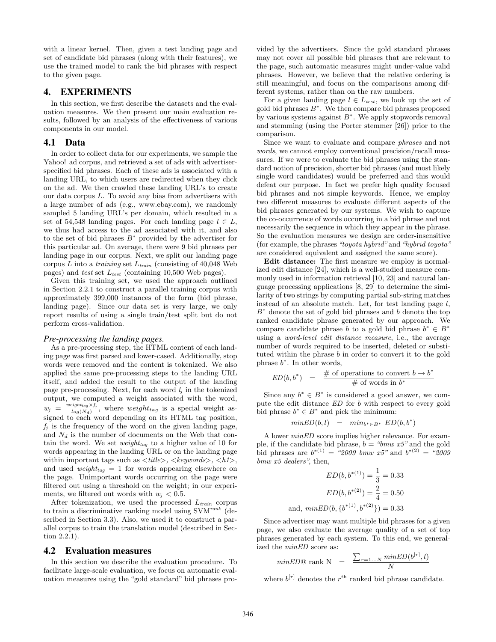with a linear kernel. Then, given a test landing page and set of candidate bid phrases (along with their features), we use the trained model to rank the bid phrases with respect to the given page.

# 4. EXPERIMENTS

In this section, we first describe the datasets and the evaluation measures. We then present our main evaluation results, followed by an analysis of the effectiveness of various components in our model.

### 4.1 Data

In order to collect data for our experiments, we sample the Yahoo! ad corpus, and retrieved a set of ads with advertiserspecified bid phrases. Each of these ads is associated with a landing URL, to which users are redirected when they click on the ad. We then crawled these landing URL's to create our data corpus L. To avoid any bias from advertisers with a large number of ads (e.g., www.ebay.com), we randomly sampled 5 landing URL's per domain, which resulted in a set of 54,548 landing pages. For each landing page  $l \in L$ , we thus had access to the ad associated with it, and also to the set of bid phrases  $B^*$  provided by the advertiser for this particular ad. On average, there were 9 bid phrases per landing page in our corpus. Next, we split our landing page corpus  $L$  into a training set  $L_{train}$  (consisting of 40,048 Web pages) and test set  $L_{test}$  (containing 10,500 Web pages).

Given this training set, we used the approach outlined in Section 2.2.1 to construct a parallel training corpus with approximately 399,000 instances of the form (bid phrase, landing page). Since our data set is very large, we only report results of using a single train/test split but do not perform cross-validation.

#### *Pre-processing the landing pages.*

As a pre-processing step, the HTML content of each landing page was first parsed and lower-cased. Additionally, stop words were removed and the content is tokenized. We also applied the same pre-processing steps to the landing URL itself, and added the result to the output of the landing page pre-processing. Next, for each word  $l_j$  in the tokenized output, we computed a weight associated with the word,  $w_j = \frac{weight_{tag} \times f_j}{load(N_i)}$  $\frac{lognt_{tag} \times f_j}{log(N_d)}$ , where  $weight_{tag}$  is a special weight assigned to each word depending on its HTML tag position,  $f_i$  is the frequency of the word on the given landing page, and  $N_d$  is the number of documents on the Web that contain the word. We set *weight<sub>tag*</sub> to a higher value of 10 for words appearing in the landing URL or on the landing page within important tags such as  $\langle title \rangle$ ,  $\langle keywords \rangle$ ,  $\langle hl \rangle$ , and used  $weight_{tag} = 1$  for words appearing elsewhere on the page. Unimportant words occurring on the page were filtered out using a threshold on the weight; in our experiments, we filtered out words with  $w_i < 0.5$ .

After tokenization, we used the processed  $L_{train}$  corpus to train a discriminative ranking model using SVMrank (described in Section 3.3). Also, we used it to construct a parallel corpus to train the translation model (described in Section 2.2.1).

# 4.2 Evaluation measures

In this section we describe the evaluation procedure. To facilitate large-scale evaluation, we focus on automatic evaluation measures using the "gold standard" bid phrases provided by the advertisers. Since the gold standard phrases may not cover all possible bid phrases that are relevant to the page, such automatic measures might under-value valid phrases. However, we believe that the relative ordering is still meaningful, and focus on the comparisons among different systems, rather than on the raw numbers.

For a given landing page  $l \in L_{test}$ , we look up the set of gold bid phrases  $B^*$ . We then compare bid phrases proposed by various systems against  $B^*$ . We apply stopwords removal and stemming (using the Porter stemmer [26]) prior to the comparison.

Since we want to evaluate and compare phrases and not words, we cannot employ conventional precision/recall measures. If we were to evaluate the bid phrases using the standard notion of precision, shorter bid phrases (and most likely single word candidates) would be preferred and this would defeat our purpose. In fact we prefer high quality focused bid phrases and not simple keywords. Hence, we employ two different measures to evaluate different aspects of the bid phrases generated by our systems. We wish to capture the co-occurrence of words occurring in a bid phrase and not necessarily the sequence in which they appear in the phrase. So the evaluation measures we design are order-insensitive (for example, the phrases "toyota hybrid" and "hybrid toyota") are considered equivalent and assigned the same score).

Edit distance: The first measure we employ is normalized edit distance [24], which is a well-studied measure commonly used in information retrieval [10, 23] and natural language processing applications [8, 29] to determine the similarity of two strings by computing partial sub-string matches instead of an absolute match. Let, for test landing page  $l$ ,  $B^*$  denote the set of gold bid phrases and b denote the top ranked candidate phrase generated by our approach. We compare candidate phrase b to a gold bid phrase  $b^* \in B^*$ using a word-level edit distance measure, i.e., the average number of words required to be inserted, deleted or substituted within the phrase b in order to convert it to the gold phrase  $b^*$ . In other words,

$$
ED(b, b^*) = \frac{\# \text{ of operations to convert } b \to b^*}{\# \text{ of words in } b^*}
$$

Since any  $b^* \in B^*$  is considered a good answer, we compute the edit distance ED for b with respect to every gold bid phrase  $b^* \in B^*$  and pick the minimum:

$$
minED(b, l) = min_{b^* \in B^*} ED(b, b^*)
$$

A lower minED score implies higher relevance. For example, if the candidate bid phrase,  $b =$  "bmw  $x5$ " and the gold bid phrases are  $b^{*(1)} =$  "2009 bmw  $x5$ " and  $b^{*(2)} =$  "2009" bmw x5 dealers", then,

$$
ED(b, b^{*(1)}) = \frac{1}{3} = 0.33
$$

$$
ED(b, b^{*(2)}) = \frac{2}{4} = 0.50
$$
and,  $minED(b, \{b^{*(1)}, b^{*(2)}\}) = 0.33$ 

Since advertiser may want multiple bid phrases for a given page, we also evaluate the average quality of a set of top phrases generated by each system. To this end, we generalized the minED score as:

$$
minED@rank N = \frac{\sum_{r=1...N} minED(b^{[r]}, l)}{N}
$$

where  $b^{[r]}$  denotes the  $r<sup>th</sup>$  ranked bid phrase candidate.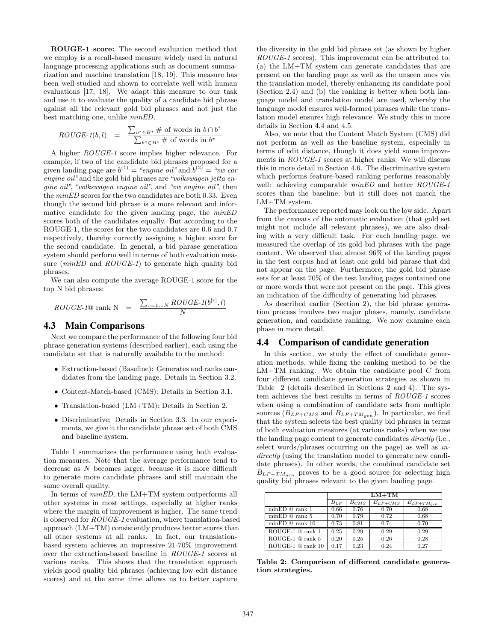ROUGE-1 score: The second evaluation method that we employ is a recall-based measure widely used in natural language processing applications such as document summarization and machine translation [18, 19]. This measure has been well-studied and shown to correlate well with human evaluations [17, 18]. We adapt this measure to our task and use it to evaluate the quality of a candidate bid phrase against all the relevant gold bid phrases and not just the best matching one, unlike minED.

$$
ROUGE-1(b,l) = \frac{\sum_{b^* \in B^*} \# \text{ of words in } b \cap b^*}{\sum_{b^* \in B^*} \# \text{ of words in } b^*}
$$

A higher ROUGE-1 score implies higher relevance. For example, if two of the candidate bid phrases proposed for a given landing page are  $b^{(1)} =$  "engine oil" and  $b^{(2)} =$  "vw car engine oil" and the gold bid phrases are "volkswagen jetta engine oil", "volkswagen engine oil", and "vw engine oil", then the  $minED$  scores for the two candidates are both 0.33. Even though the second bid phrase is a more relevant and informative candidate for the given landing page, the minED scores both of the candidates equally. But according to the ROUGE-1, the scores for the two candidates are 0.6 and 0.7 respectively, thereby correctly assigning a higher score for the second candidate. In general, a bid phrase generation system should perform well in terms of both evaluation measure  $(minED$  and  $ROUGE-1)$  to generate high quality bid phrases.

We can also compute the average ROUGE-1 score for the top N bid phrases:

$$
ROUGE-1@ \text{ rank } N = \frac{\sum_{r=1...N} ROUGE-1(b^{[r]}, l)}{N}
$$

# 4.3 Main Comparisons

Next we compare the performance of the following four bid phrase generation systems (described earlier), each using the candidate set that is naturally available to the method:

- Extraction-based (Baseline): Generates and ranks candidates from the landing page. Details in Section 3.2.
- Content-Match-based (CMS): Details in Section 3.1.
- Translation-based (LM+TM): Details in Section 2.
- Discriminative: Details in Section 3.3. In our experiments, we give it the candidate phrase set of both CMS and baseline system.

Table 1 summarizes the performance using both evaluation measures. Note that the average performance tend to decrease as N becomes larger, because it is more difficult to generate more candidate phrases and still maintain the same overall quality.

In terms of minED, the LM+TM system outperforms all other systems in most settings, especially at higher ranks where the margin of improvement is higher. The same trend is observed for ROUGE-1 evaluation, where translation-based approach (LM+TM) consistently produces better scores than all other systems at all ranks. In fact, our translationbased system achieves an impressive 21-70% improvement over the extraction-based baseline in ROUGE-1 scores at various ranks. This shows that the translation approach yields good quality bid phrases (achieving low edit distance scores) and at the same time allows us to better capture

the diversity in the gold bid phrase set (as shown by higher ROUGE-1 scores). This improvement can be attributed to: (a) the LM+TM system can generate candidates that are present on the landing page as well as the unseen ones via the translation model, thereby enhancing its candidate pool (Section 2.4) and (b) the ranking is better when both language model and translation model are used, whereby the language model ensures well-formed phrases while the translation model ensures high relevance. We study this in more details in Section 4.4 and 4.5.

Also, we note that the Content Match System (CMS) did not perform as well as the baseline system, especially in terms of edit distance, though it does yield some improvements in ROUGE-1 scores at higher ranks. We will discuss this in more detail in Section 4.6. The discriminative system which performs feature-based ranking performs reasonably well: achieving comparable minED and better ROUGE-1 scores than the baseline, but it still does not match the LM+TM system.

The performance reported may look on the low side. Apart from the caveats of the automatic evaluation (that gold set might not include all relevant phrases), we are also dealing with a very difficult task. For each landing page, we measured the overlap of its gold bid phrases with the page content. We observed that almost 96% of the landing pages in the test corpus had at least one gold bid phrase that did not appear on the page. Furthermore, the gold bid phrase sets for at least 70% of the test landing pages contained one or more words that were not present on the page. This gives an indication of the difficulty of generating bid phrases.

As described earlier (Section 2), the bid phrase generation process involves two major phases, namely, candidate generation, and candidate ranking. We now examine each phase in more detail.

# 4.4 Comparison of candidate generation

In this section, we study the effect of candidate generation methods, while fixing the ranking method to be the  $LM+TM$  ranking. We obtain the candidate pool  $C$  from four different candidate generation strategies as shown in Table 2 (details described in Sections 2 and 4). The system achieves the best results in terms of ROUGE-1 scores when using a combination of candidate sets from multiple sources  $(B_{LP+CMS}$  and  $B_{LP+TMgen}$ ). In particular, we find that the system selects the best quality bid phrases in terms of both evaluation measures (at various ranks) when we use the landing page content to generate candidates directly (i.e., select words/phrases occurring on the page) as well as indirectly (using the translation model to generate new candidate phrases). In other words, the combined candidate set  $B_{LP+TM_{gen}}$  proves to be a good source for selecting high quality bid phrases relevant to the given landing page.

|                   | $LM+TM$  |           |              |                   |
|-------------------|----------|-----------|--------------|-------------------|
|                   | $B_{LP}$ | $B_{CMS}$ | $B_{LP+CMS}$ | $B_{LP+TM_{gen}}$ |
| minED@rank1       | 0.66     | 0.76      | 0.70         | 0.68              |
| $minED$ @ rank 5  | 0.70     | 0.79      | 0.72         | 0.68              |
| minED @ rank 10   | 0.73     | 0.81      | 0.74         | 0.70              |
| $ROUGE-1@rank1$   | 0.25     | 0.29      | 0.29         | 0.29              |
| $ROUGE-1@rank 5$  | 0.20     | 0.25      | 0.26         | 0.28              |
| $ROUGE-1@rank 10$ | 0.17     | 0.23      | 0.24         | 0.27              |

Table 2: Comparison of different candidate generation strategies.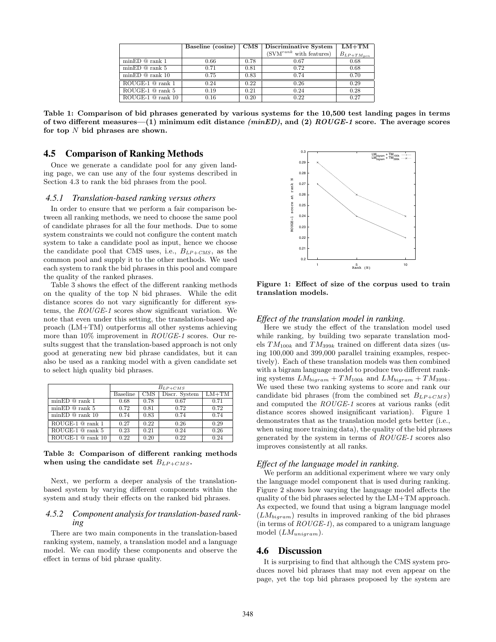|                   | Baseline (cosine) | $\sim$ CMS | Discriminative System        | $LM+TM$        |
|-------------------|-------------------|------------|------------------------------|----------------|
|                   |                   |            | $(SVM^{rank}$ with features) | $B_{LP+TMgen}$ |
| minED @ rank 1    | 0.66              | 0.78       | 0.67                         | 0.68           |
| $minED$ @ rank 5  | 0.71              | 0.81       | 0.72                         | 0.68           |
| minED @ rank 10   | 0.75              | 0.83       | 0.74                         | 0.70           |
| $ROUGE-1@rank1$   | 0.24              | 0.22       | 0.26                         | 0.29           |
| $ROUGE-1@rank 5$  | 0.19              | 0.21       | 0.24                         | 0.28           |
| $ROUGE-1@rank 10$ | 0.16              | 0.20       | 0.22                         | 0.27           |

Table 1: Comparison of bid phrases generated by various systems for the 10,500 test landing pages in terms of two different measures—(1) minimum edit distance ( $minED$ ), and (2)  $ROUGE-1$  score. The average scores for top  $N$  bid phrases are shown.

# 4.5 Comparison of Ranking Methods

Once we generate a candidate pool for any given landing page, we can use any of the four systems described in Section 4.3 to rank the bid phrases from the pool.

#### *4.5.1 Translation-based ranking versus others*

In order to ensure that we perform a fair comparison between all ranking methods, we need to choose the same pool of candidate phrases for all the four methods. Due to some system constraints we could not configure the content match system to take a candidate pool as input, hence we choose the candidate pool that CMS uses, i.e.,  $B_{LP+CMS}$ , as the common pool and supply it to the other methods. We used each system to rank the bid phrases in this pool and compare the quality of the ranked phrases.

Table 3 shows the effect of the different ranking methods on the quality of the top N bid phrases. While the edit distance scores do not vary significantly for different systems, the ROUGE-1 scores show significant variation. We note that even under this setting, the translation-based approach (LM+TM) outperforms all other systems achieving more than 10% improvement in *ROUGE-1* scores. Our results suggest that the translation-based approach is not only good at generating new bid phrase candidates, but it can also be used as a ranking model with a given candidate set to select high quality bid phrases.

|                     | $B_{LP+CMS}$ |      |               |         |
|---------------------|--------------|------|---------------|---------|
|                     | Baseline     | CMS  | Discr. System | $LM+TM$ |
| minED @ rank 1      | 0.68         | 0.78 | 0.67          | 0.71    |
| $minED$ @ rank 5    | 0.72         | 0.81 | 0.72          | 0.72    |
| $minED$ @ $rank$ 10 | 0.74         | 0.83 | 0.74          | 0.74    |
| $ROUGE-1@rank1$     | 0.27         | 0.22 | 0.26          | 0.29    |
| $ROUGE-1@rank 5$    | 0.23         | 0.21 | 0.24          | 0.26    |
| $ROUGE-1@rank 10$   | 0.22         | 0.20 | 0.22          | 0.24    |

Table 3: Comparison of different ranking methods when using the candidate set  $B_{LP+CMS}$ .

Next, we perform a deeper analysis of the translationbased system by varying different components within the system and study their effects on the ranked bid phrases.

#### *4.5.2 Component analysis for translation-based ranking*

There are two main components in the translation-based ranking system, namely, a translation model and a language model. We can modify these components and observe the effect in terms of bid phrase quality.



Figure 1: Effect of size of the corpus used to train translation models.

#### *Effect of the translation model in ranking.*

Here we study the effect of the translation model used while ranking, by building two separate translation models  $TM_{100k}$  and  $TM_{399k}$  trained on different data sizes (using 100,000 and 399,000 parallel training examples, respectively). Each of these translation models was then combined with a bigram language model to produce two different ranking systems  $LM_{bigram} + TM_{100k}$  and  $LM_{bigram} + TM_{399k}$ . We used these two ranking systems to score and rank our candidate bid phrases (from the combined set  $B_{LP+CMS}$ ) and computed the ROUGE-1 scores at various ranks (edit distance scores showed insignificant variation). Figure 1 demonstrates that as the translation model gets better (i.e., when using more training data), the quality of the bid phrases generated by the system in terms of ROUGE-1 scores also improves consistently at all ranks.

#### *Effect of the language model in ranking.*

We perform an additional experiment where we vary only the language model component that is used during ranking. Figure 2 shows how varying the language model affects the quality of the bid phrases selected by the LM+TM approach. As expected, we found that using a bigram language model  $(LM_{bigram})$  results in improved ranking of the bid phrases (in terms of  $ROUGE-1$ ), as compared to a unigram language model  $(LM_{unigram})$ .

#### 4.6 Discussion

It is surprising to find that although the CMS system produces novel bid phrases that may not even appear on the page, yet the top bid phrases proposed by the system are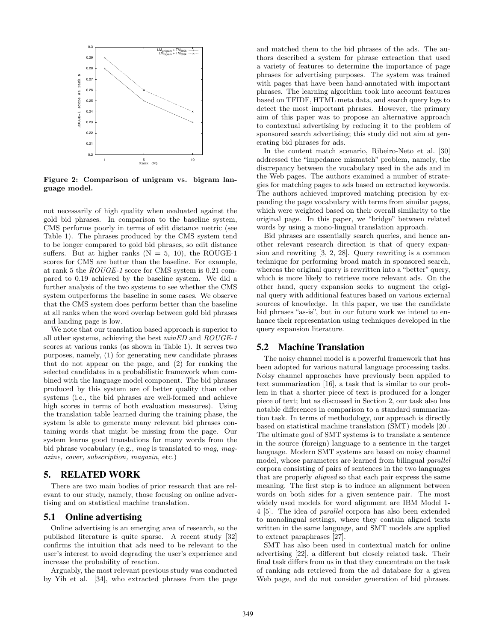

Figure 2: Comparison of unigram vs. bigram language model.

not necessarily of high quality when evaluated against the gold bid phrases. In comparison to the baseline system, CMS performs poorly in terms of edit distance metric (see Table 1). The phrases produced by the CMS system tend to be longer compared to gold bid phrases, so edit distance suffers. But at higher ranks  $(N = 5, 10)$ , the ROUGE-1 scores for CMS are better than the baseline. For example, at rank 5 the ROUGE-1 score for CMS system is 0.21 compared to 0.19 achieved by the baseline system. We did a further analysis of the two systems to see whether the CMS system outperforms the baseline in some cases. We observe that the CMS system does perform better than the baseline at all ranks when the word overlap between gold bid phrases and landing page is low.

We note that our translation based approach is superior to all other systems, achieving the best minED and ROUGE-1 scores at various ranks (as shown in Table 1). It serves two purposes, namely, (1) for generating new candidate phrases that do not appear on the page, and (2) for ranking the selected candidates in a probabilistic framework when combined with the language model component. The bid phrases produced by this system are of better quality than other systems (i.e., the bid phrases are well-formed and achieve high scores in terms of both evaluation measures). Using the translation table learned during the training phase, the system is able to generate many relevant bid phrases containing words that might be missing from the page. Our system learns good translations for many words from the bid phrase vocabulary (e.g., mag is translated to mag, magazine, cover, subscription, magazin, etc.)

# 5. RELATED WORK

There are two main bodies of prior research that are relevant to our study, namely, those focusing on online advertising and on statistical machine translation.

# 5.1 Online advertising

Online advertising is an emerging area of research, so the published literature is quite sparse. A recent study [32] confirms the intuition that ads need to be relevant to the user's interest to avoid degrading the user's experience and increase the probability of reaction.

Arguably, the most relevant previous study was conducted by Yih et al. [34], who extracted phrases from the page and matched them to the bid phrases of the ads. The authors described a system for phrase extraction that used a variety of features to determine the importance of page phrases for advertising purposes. The system was trained with pages that have been hand-annotated with important phrases. The learning algorithm took into account features based on TFIDF, HTML meta data, and search query logs to detect the most important phrases. However, the primary aim of this paper was to propose an alternative approach to contextual advertising by reducing it to the problem of sponsored search advertising; this study did not aim at generating bid phrases for ads.

In the content match scenario, Ribeiro-Neto et al. [30] addressed the "impedance mismatch" problem, namely, the discrepancy between the vocabulary used in the ads and in the Web pages. The authors examined a number of strategies for matching pages to ads based on extracted keywords. The authors achieved improved matching precision by expanding the page vocabulary with terms from similar pages, which were weighted based on their overall similarity to the original page. In this paper, we "bridge" between related words by using a mono-lingual translation approach.

Bid phrases are essentially search queries, and hence another relevant research direction is that of query expansion and rewriting [3, 2, 28]. Query rewriting is a common technique for performing broad match in sponsored search, whereas the original query is rewritten into a "better" query, which is more likely to retrieve more relevant ads. On the other hand, query expansion seeks to augment the original query with additional features based on various external sources of knowledge. In this paper, we use the candidate bid phrases "as-is", but in our future work we intend to enhance their representation using techniques developed in the query expansion literature.

# 5.2 Machine Translation

The noisy channel model is a powerful framework that has been adopted for various natural language processing tasks. Noisy channel approaches have previously been applied to text summarization [16], a task that is similar to our problem in that a shorter piece of text is produced for a longer piece of text; but as discussed in Section 2, our task also has notable differences in comparison to a standard summarization task. In terms of methodology, our approach is directly based on statistical machine translation (SMT) models [20]. The ultimate goal of SMT systems is to translate a sentence in the source (foreign) language to a sentence in the target language. Modern SMT systems are based on noisy channel model, whose parameters are learned from bilingual parallel corpora consisting of pairs of sentences in the two languages that are properly aligned so that each pair express the same meaning. The first step is to induce an alignment between words on both sides for a given sentence pair. The most widely used models for word alignment are IBM Model 1- 4 [5]. The idea of parallel corpora has also been extended to monolingual settings, where they contain aligned texts written in the same language, and SMT models are applied to extract paraphrases [27].

SMT has also been used in contextual match for online advertising [22], a different but closely related task. Their final task differs from us in that they concentrate on the task of ranking ads retrieved from the ad database for a given Web page, and do not consider generation of bid phrases.